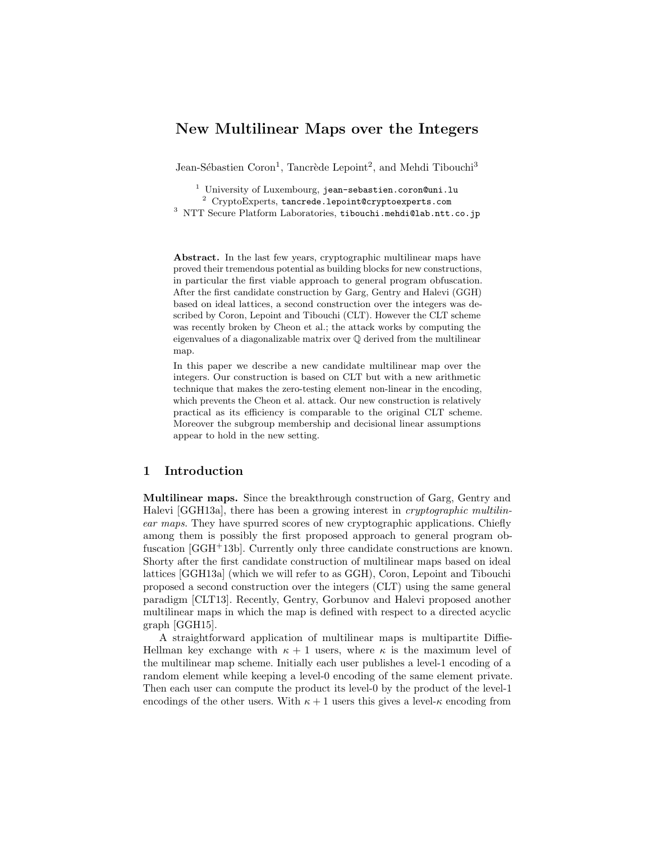# New Multilinear Maps over the Integers

Jean-Sébastien Coron<sup>1</sup>, Tancrède Lepoint<sup>2</sup>, and Mehdi Tibouchi<sup>3</sup>

<sup>1</sup> University of Luxembourg, jean-sebastien.coron@uni.lu

<sup>2</sup> CryptoExperts, tancrede.lepoint@cryptoexperts.com

<sup>3</sup> NTT Secure Platform Laboratories, tibouchi.mehdi@lab.ntt.co.jp

Abstract. In the last few years, cryptographic multilinear maps have proved their tremendous potential as building blocks for new constructions, in particular the first viable approach to general program obfuscation. After the first candidate construction by Garg, Gentry and Halevi (GGH) based on ideal lattices, a second construction over the integers was described by Coron, Lepoint and Tibouchi (CLT). However the CLT scheme was recently broken by Cheon et al.; the attack works by computing the eigenvalues of a diagonalizable matrix over Q derived from the multilinear map.

In this paper we describe a new candidate multilinear map over the integers. Our construction is based on CLT but with a new arithmetic technique that makes the zero-testing element non-linear in the encoding, which prevents the Cheon et al. attack. Our new construction is relatively practical as its efficiency is comparable to the original CLT scheme. Moreover the subgroup membership and decisional linear assumptions appear to hold in the new setting.

# 1 Introduction

Multilinear maps. Since the breakthrough construction of Garg, Gentry and Halevi [GGH13a], there has been a growing interest in *cryptographic multilin*ear maps. They have spurred scores of new cryptographic applications. Chiefly among them is possibly the first proposed approach to general program obfuscation [GGH<sup>+</sup>13b]. Currently only three candidate constructions are known. Shorty after the first candidate construction of multilinear maps based on ideal lattices [GGH13a] (which we will refer to as GGH), Coron, Lepoint and Tibouchi proposed a second construction over the integers (CLT) using the same general paradigm [CLT13]. Recently, Gentry, Gorbunov and Halevi proposed another multilinear maps in which the map is defined with respect to a directed acyclic graph [GGH15].

A straightforward application of multilinear maps is multipartite Diffie-Hellman key exchange with  $\kappa + 1$  users, where  $\kappa$  is the maximum level of the multilinear map scheme. Initially each user publishes a level-1 encoding of a random element while keeping a level-0 encoding of the same element private. Then each user can compute the product its level-0 by the product of the level-1 encodings of the other users. With  $\kappa + 1$  users this gives a level- $\kappa$  encoding from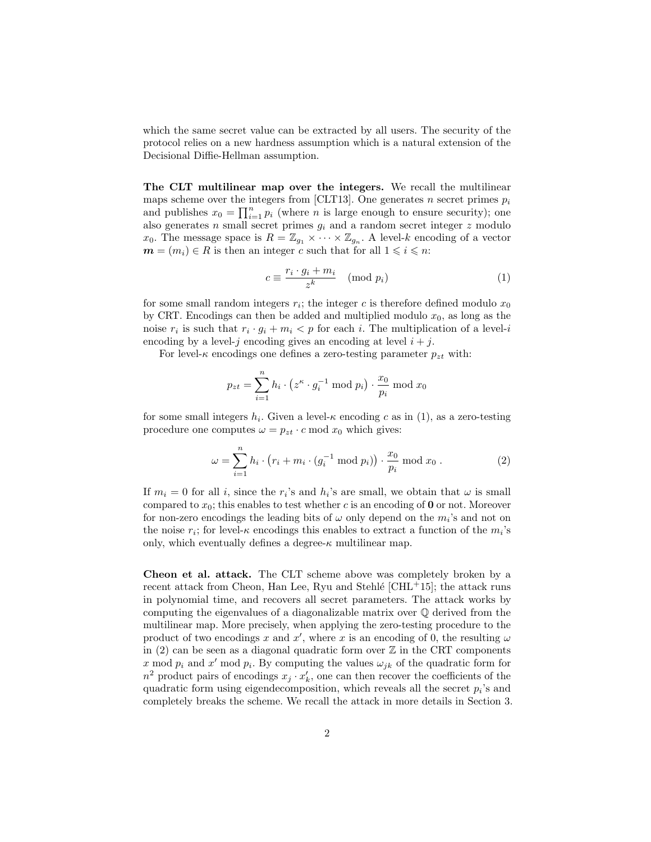which the same secret value can be extracted by all users. The security of the protocol relies on a new hardness assumption which is a natural extension of the Decisional Diffie-Hellman assumption.

The CLT multilinear map over the integers. We recall the multilinear maps scheme over the integers from [CLT13]. One generates n secret primes  $p_i$ and publishes  $x_0 = \prod_{i=1}^n p_i$  (where *n* is large enough to ensure security); one also generates  $n$  small secret primes  $g_i$  and a random secret integer  $z$  modulo  $x_0$ . The message space is  $R = \mathbb{Z}_{g_1} \times \cdots \times \mathbb{Z}_{g_n}$ . A level-k encoding of a vector  $m = (m_i) \in R$  is then an integer c such that for all  $1 \leq i \leq n$ :

$$
c \equiv \frac{r_i \cdot g_i + m_i}{z^k} \pmod{p_i}
$$
 (1)

for some small random integers  $r_i$ ; the integer c is therefore defined modulo  $x_0$ by CRT. Encodings can then be added and multiplied modulo  $x_0$ , as long as the noise  $r_i$  is such that  $r_i \cdot g_i + m_i \langle p \rangle$  for each i. The multiplication of a level-i encoding by a level-j encoding gives an encoding at level  $i + j$ .

For level- $\kappa$  encodings one defines a zero-testing parameter  $p_{zt}$  with:

$$
p_{zt} = \sum_{i=1}^{n} h_i \cdot (z^{\kappa} \cdot g_i^{-1} \bmod p_i) \cdot \frac{x_0}{p_i} \bmod x_0
$$

for some small integers  $h_i$ . Given a level- $\kappa$  encoding c as in (1), as a zero-testing procedure one computes  $\omega = p_{zt} \cdot c \mod x_0$  which gives:

$$
\omega = \sum_{i=1}^{n} h_i \cdot (r_i + m_i \cdot (g_i^{-1} \bmod p_i)) \cdot \frac{x_0}{p_i} \bmod x_0.
$$
 (2)

If  $m_i = 0$  for all i, since the  $r_i$ 's and  $h_i$ 's are small, we obtain that  $\omega$  is small compared to  $x_0$ ; this enables to test whether c is an encoding of **0** or not. Moreover for non-zero encodings the leading bits of  $\omega$  only depend on the  $m_i$ 's and not on the noise  $r_i$ ; for level- $\kappa$  encodings this enables to extract a function of the  $m_i$ 's only, which eventually defines a degree- $\kappa$  multilinear map.

Cheon et al. attack. The CLT scheme above was completely broken by a recent attack from Cheon, Han Lee, Ryu and Stehlé  $\lbrack \text{CHL+15} \rbrack$ ; the attack runs in polynomial time, and recovers all secret parameters. The attack works by computing the eigenvalues of a diagonalizable matrix over Q derived from the multilinear map. More precisely, when applying the zero-testing procedure to the product of two encodings x and x', where x is an encoding of 0, the resulting  $\omega$ in  $(2)$  can be seen as a diagonal quadratic form over  $\mathbb Z$  in the CRT components x mod  $p_i$  and x' mod  $p_i$ . By computing the values  $\omega_{jk}$  of the quadratic form for  $n^2$  product pairs of encodings  $x_j \cdot x'_k$ , one can then recover the coefficients of the quadratic form using eigendecomposition, which reveals all the secret  $p_i$ 's and completely breaks the scheme. We recall the attack in more details in Section 3.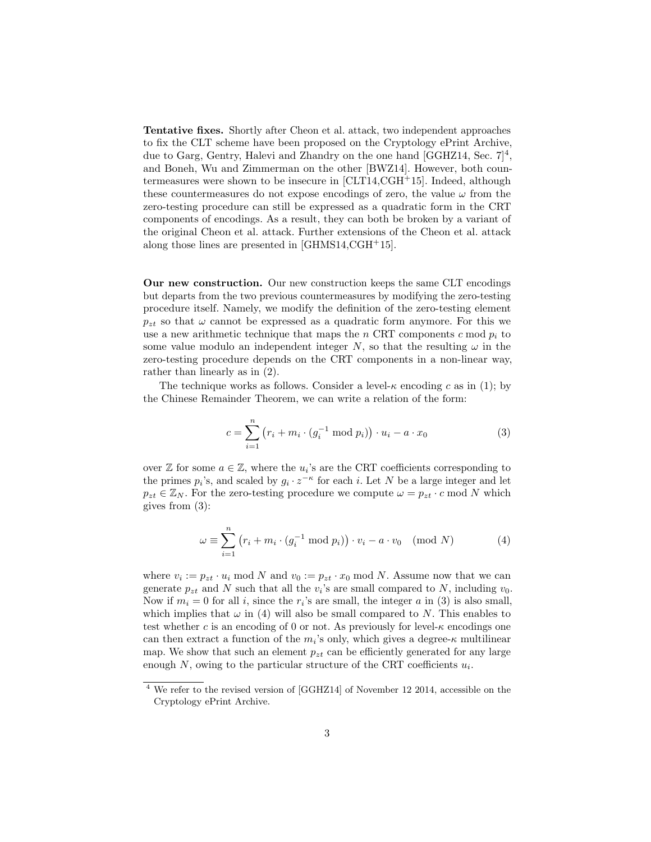Tentative fixes. Shortly after Cheon et al. attack, two independent approaches to fix the CLT scheme have been proposed on the Cryptology ePrint Archive, due to Garg, Gentry, Halevi and Zhandry on the one hand [GGHZ14, Sec.  $7]^4$ , and Boneh, Wu and Zimmerman on the other [BWZ14]. However, both countermeasures were shown to be insecure in [CLT14,CGH<sup>+</sup>15]. Indeed, although these countermeasures do not expose encodings of zero, the value  $\omega$  from the zero-testing procedure can still be expressed as a quadratic form in the CRT components of encodings. As a result, they can both be broken by a variant of the original Cheon et al. attack. Further extensions of the Cheon et al. attack along those lines are presented in [GHMS14,CGH+15].

Our new construction. Our new construction keeps the same CLT encodings but departs from the two previous countermeasures by modifying the zero-testing procedure itself. Namely, we modify the definition of the zero-testing element  $p_{zt}$  so that  $\omega$  cannot be expressed as a quadratic form anymore. For this we use a new arithmetic technique that maps the n CRT components c mod  $p_i$  to some value modulo an independent integer N, so that the resulting  $\omega$  in the zero-testing procedure depends on the CRT components in a non-linear way, rather than linearly as in (2).

The technique works as follows. Consider a level- $\kappa$  encoding c as in (1); by the Chinese Remainder Theorem, we can write a relation of the form:

$$
c = \sum_{i=1}^{n} (r_i + m_i \cdot (g_i^{-1} \bmod p_i)) \cdot u_i - a \cdot x_0
$$
 (3)

over  $\mathbb Z$  for some  $a \in \mathbb Z$ , where the  $u_i$ 's are the CRT coefficients corresponding to the primes  $p_i$ 's, and scaled by  $g_i \cdot z^{-\kappa}$  for each i. Let N be a large integer and let  $p_{zt} \in \mathbb{Z}_N$ . For the zero-testing procedure we compute  $\omega = p_{zt} \cdot c \mod N$  which gives from (3):

$$
\omega \equiv \sum_{i=1}^{n} (r_i + m_i \cdot (g_i^{-1} \bmod p_i)) \cdot v_i - a \cdot v_0 \pmod{N} \tag{4}
$$

where  $v_i := p_{zt} \cdot u_i \mod N$  and  $v_0 := p_{zt} \cdot x_0 \mod N$ . Assume now that we can generate  $p_{zt}$  and N such that all the  $v_i$ 's are small compared to N, including  $v_0$ . Now if  $m_i = 0$  for all i, since the  $r_i$ 's are small, the integer a in (3) is also small, which implies that  $\omega$  in (4) will also be small compared to N. This enables to test whether c is an encoding of 0 or not. As previously for level- $\kappa$  encodings one can then extract a function of the  $m_i$ 's only, which gives a degree- $\kappa$  multilinear map. We show that such an element  $p_{zt}$  can be efficiently generated for any large enough  $N$ , owing to the particular structure of the CRT coefficients  $u_i$ .

<sup>4</sup> We refer to the revised version of [GGHZ14] of November 12 2014, accessible on the Cryptology ePrint Archive.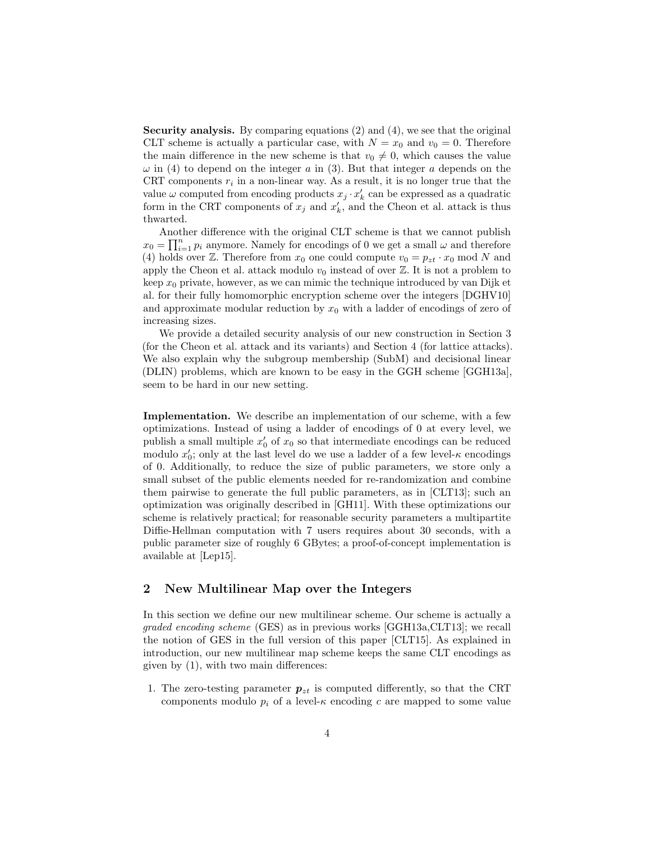Security analysis. By comparing equations (2) and (4), we see that the original CLT scheme is actually a particular case, with  $N = x_0$  and  $v_0 = 0$ . Therefore the main difference in the new scheme is that  $v_0 \neq 0$ , which causes the value  $\omega$  in (4) to depend on the integer a in (3). But that integer a depends on the CRT components  $r_i$  in a non-linear way. As a result, it is no longer true that the value  $\omega$  computed from encoding products  $x_j \cdot x'_k$  can be expressed as a quadratic form in the CRT components of  $x_j$  and  $x'_k$ , and the Cheon et al. attack is thus thwarted.

Another difference with the original CLT scheme is that we cannot publish  $x_0 = \prod_{i=1}^n p_i$  anymore. Namely for encodings of 0 we get a small  $\omega$  and therefore (4) holds over Z. Therefore from  $x_0$  one could compute  $v_0 = p_{zt} \cdot x_0 \mod N$  and apply the Cheon et al. attack modulo  $v_0$  instead of over  $\mathbb Z$ . It is not a problem to keep  $x_0$  private, however, as we can mimic the technique introduced by van Dijk et al. for their fully homomorphic encryption scheme over the integers [DGHV10] and approximate modular reduction by  $x_0$  with a ladder of encodings of zero of increasing sizes.

We provide a detailed security analysis of our new construction in Section 3 (for the Cheon et al. attack and its variants) and Section 4 (for lattice attacks). We also explain why the subgroup membership (SubM) and decisional linear (DLIN) problems, which are known to be easy in the GGH scheme [GGH13a], seem to be hard in our new setting.

Implementation. We describe an implementation of our scheme, with a few optimizations. Instead of using a ladder of encodings of 0 at every level, we publish a small multiple  $x'_0$  of  $x_0$  so that intermediate encodings can be reduced modulo  $x_0'$ ; only at the last level do we use a ladder of a few level- $\kappa$  encodings of 0. Additionally, to reduce the size of public parameters, we store only a small subset of the public elements needed for re-randomization and combine them pairwise to generate the full public parameters, as in [CLT13]; such an optimization was originally described in [GH11]. With these optimizations our scheme is relatively practical; for reasonable security parameters a multipartite Diffie-Hellman computation with 7 users requires about 30 seconds, with a public parameter size of roughly 6 GBytes; a proof-of-concept implementation is available at [Lep15].

# 2 New Multilinear Map over the Integers

In this section we define our new multilinear scheme. Our scheme is actually a graded encoding scheme (GES) as in previous works [GGH13a,CLT13]; we recall the notion of GES in the full version of this paper [CLT15]. As explained in introduction, our new multilinear map scheme keeps the same CLT encodings as given by (1), with two main differences:

1. The zero-testing parameter  $p_{zt}$  is computed differently, so that the CRT components modulo  $p_i$  of a level- $\kappa$  encoding c are mapped to some value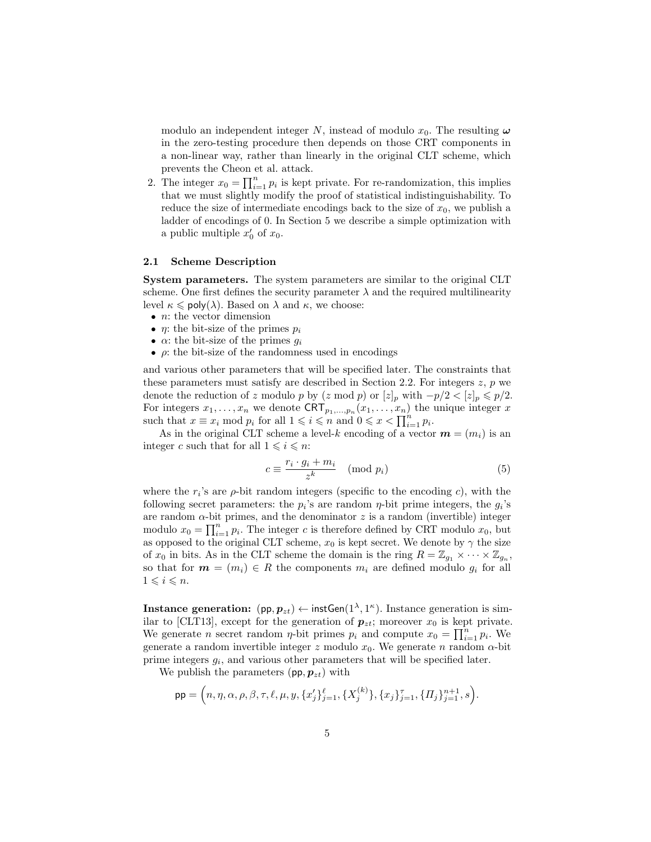modulo an independent integer N, instead of modulo  $x_0$ . The resulting  $\omega$ in the zero-testing procedure then depends on those CRT components in a non-linear way, rather than linearly in the original CLT scheme, which prevents the Cheon et al. attack.

2. The integer  $x_0 = \prod_{i=1}^n p_i$  is kept private. For re-randomization, this implies that we must slightly modify the proof of statistical indistinguishability. To reduce the size of intermediate encodings back to the size of  $x_0$ , we publish a ladder of encodings of 0. In Section 5 we describe a simple optimization with a public multiple  $x'_0$  of  $x_0$ .

#### 2.1 Scheme Description

System parameters. The system parameters are similar to the original CLT scheme. One first defines the security parameter  $\lambda$  and the required multilinearity level  $\kappa \le \text{poly}(\lambda)$ . Based on  $\lambda$  and  $\kappa$ , we choose:

- $n:$  the vector dimension
- $\eta$ : the bit-size of the primes  $p_i$
- $\alpha$ : the bit-size of the primes  $g_i$
- $\rho$ : the bit-size of the randomness used in encodings

and various other parameters that will be specified later. The constraints that these parameters must satisfy are described in Section 2.2. For integers  $z$ ,  $p$  we denote the reduction of z modulo p by  $(z \mod p)$  or  $[z]_p$  with  $-p/2 < [z]_p \leq p/2$ . For integers  $x_1, \ldots, x_n$  we denote  $CRT_{p_1, \ldots, p_n}(x_1, \ldots, x_n)$  the unique integer x such that  $x \equiv x_i \mod p_i$  for all  $1 \leq i \leq n$  and  $0 \leq x < \prod_{i=1}^n p_i$ .

As in the original CLT scheme a level-k encoding of a vector  $\mathbf{m} = (m_i)$  is an integer c such that for all  $1 \leq i \leq n$ :

$$
c \equiv \frac{r_i \cdot g_i + m_i}{z^k} \pmod{p_i}
$$
 (5)

where the  $r_i$ 's are  $\rho$ -bit random integers (specific to the encoding c), with the following secret parameters: the  $p_i$ 's are random  $\eta$ -bit prime integers, the  $g_i$ 's are random  $\alpha$ -bit primes, and the denominator z is a random (invertible) integer modulo  $x_0 = \prod_{i=1}^n p_i$ . The integer c is therefore defined by CRT modulo  $x_0$ , but as opposed to the original CLT scheme,  $x_0$  is kept secret. We denote by  $\gamma$  the size of  $x_0$  in bits. As in the CLT scheme the domain is the ring  $R = \mathbb{Z}_{g_1} \times \cdots \times \mathbb{Z}_{g_n}$ , so that for  $m = (m_i) \in R$  the components  $m_i$  are defined modulo  $g_i$  for all  $1 \leq i \leq n$ .

Instance generation:  $(pp, p_{zt}) \leftarrow \text{instGen}(1^{\lambda}, 1^{\kappa})$ . Instance generation is similar to [CLT13], except for the generation of  $p_{zt}$ ; moreover  $x_0$  is kept private. We generate *n* secret random *η*-bit primes  $p_i$  and compute  $x_0 = \prod_{i=1}^n p_i$ . We generate a random invertible integer z modulo  $x_0$ . We generate n random  $\alpha$ -bit prime integers  $g_i$ , and various other parameters that will be specified later.

We publish the parameters  $(pp, p_{zt})$  with

$$
\mathsf{pp} = \Big(n, \eta, \alpha, \rho, \beta, \tau, \ell, \mu, y, \{x_j'\}_{j=1}^{\ell}, \{X_j^{(k)}\}, \{x_j\}_{j=1}^{\tau}, \{ \Pi_j \}_{j=1}^{n+1}, s \Big).
$$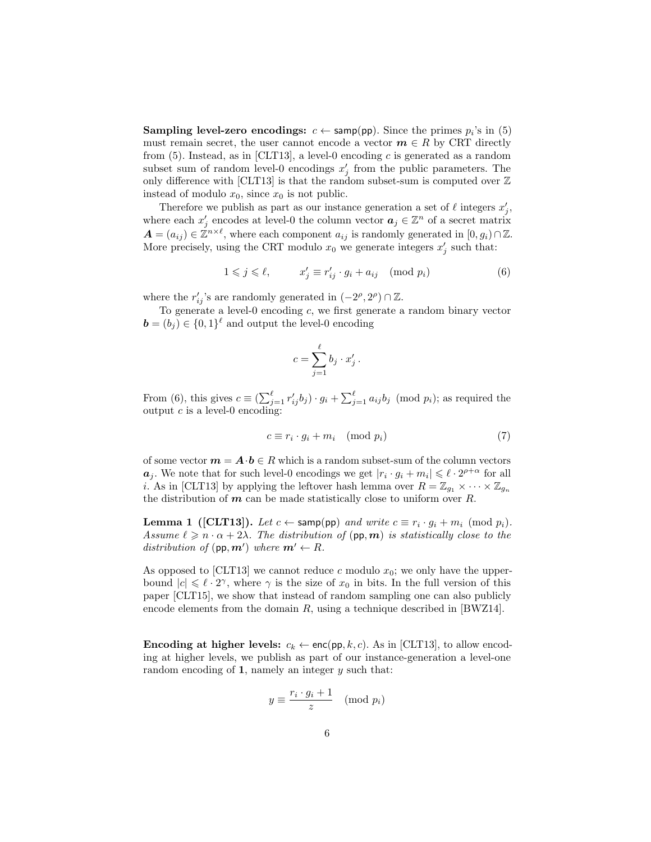**Sampling level-zero encodings:**  $c \leftarrow \text{sample(pp)}$ . Since the primes  $p_i$ 's in (5) must remain secret, the user cannot encode a vector  $m \in R$  by CRT directly from  $(5)$ . Instead, as in [CLT13], a level-0 encoding c is generated as a random subset sum of random level-0 encodings  $x'_{j}$  from the public parameters. The only difference with [CLT13] is that the random subset-sum is computed over  $\mathbb Z$ instead of modulo  $x_0$ , since  $x_0$  is not public.

Therefore we publish as part as our instance generation a set of  $\ell$  integers  $x'_j$ , where each  $x'_j$  encodes at level-0 the column vector  $a_j \in \mathbb{Z}^n$  of a secret matrix  $A = (a_{ij}) \in \mathbb{Z}^{n \times \ell}$ , where each component  $a_{ij}$  is randomly generated in  $[0, g_i) \cap \mathbb{Z}$ . More precisely, using the CRT modulo  $x_0$  we generate integers  $x'_j$  such that:

$$
1 \leqslant j \leqslant \ell, \qquad x'_j \equiv r'_{ij} \cdot g_i + a_{ij} \pmod{p_i}
$$
 (6)

.

where the  $r'_{ij}$ 's are randomly generated in  $(-2^{\rho}, 2^{\rho}) \cap \mathbb{Z}$ .

To generate a level-0 encoding c, we first generate a random binary vector  $\mathbf{b} = (b_j) \in \{0,1\}^{\ell}$  and output the level-0 encoding

$$
c = \sum_{j=1}^{\ell} b_j \cdot x'_j
$$

From (6), this gives  $c \equiv (\sum_{j=1}^{\ell} r'_{ij} b_j) \cdot g_i + \sum_{j=1}^{\ell} a_{ij} b_j \pmod{p_i}$ ; as required the output  $c$  is a level-0 encoding:

$$
c \equiv r_i \cdot g_i + m_i \pmod{p_i} \tag{7}
$$

of some vector  $m = A \cdot b \in R$  which is a random subset-sum of the column vectors  $a_j$ . We note that for such level-0 encodings we get  $|r_i \cdot g_i + m_i| \leq \ell \cdot 2^{\rho+\alpha}$  for all *i*. As in [CLT13] by applying the leftover hash lemma over  $R = \mathbb{Z}_{q_1} \times \cdots \times \mathbb{Z}_{q_n}$ the distribution of  $m$  can be made statistically close to uniform over  $R$ .

**Lemma 1** ([CLT13]). Let  $c \leftarrow \textsf{sample}(pp)$  and write  $c \equiv r_i \cdot g_i + m_i \pmod{p_i}$ . Assume  $\ell \geq n \cdot \alpha + 2\lambda$ . The distribution of (pp, m) is statistically close to the distribution of  $(pp, m')$  where  $m' \leftarrow R$ .

As opposed to [CLT13] we cannot reduce c modulo  $x_0$ ; we only have the upperbound  $|c| \leq \ell \cdot 2^{\gamma}$ , where  $\gamma$  is the size of  $x_0$  in bits. In the full version of this paper [CLT15], we show that instead of random sampling one can also publicly encode elements from the domain  $R$ , using a technique described in [BWZ14].

**Encoding at higher levels:**  $c_k \leftarrow \text{enc}(pp, k, c)$ . As in [CLT13], to allow encoding at higher levels, we publish as part of our instance-generation a level-one random encoding of 1, namely an integer  $y$  such that:

$$
y \equiv \frac{r_i \cdot g_i + 1}{z} \pmod{p_i}
$$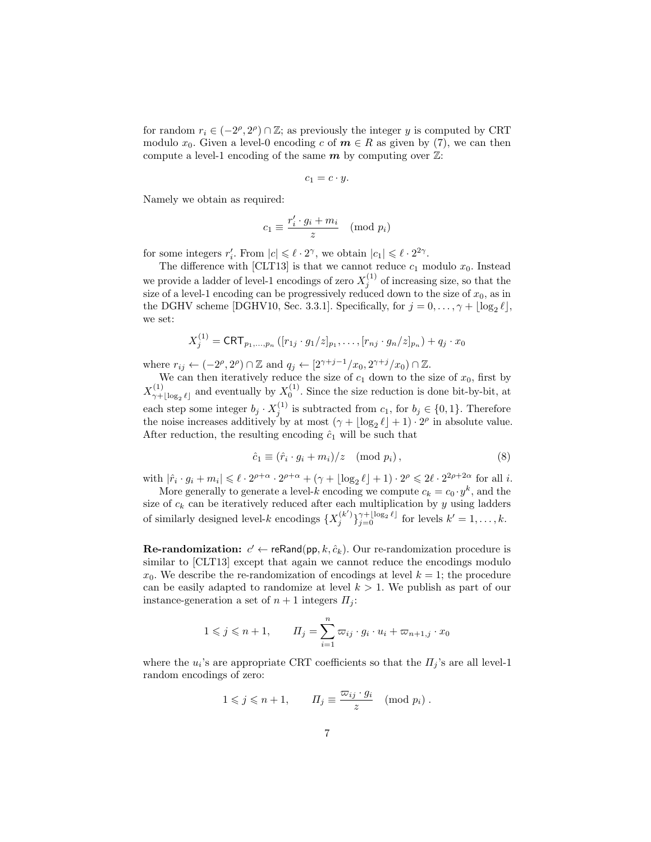for random  $r_i \in (-2^{\rho}, 2^{\rho}) \cap \mathbb{Z}$ ; as previously the integer y is computed by CRT modulo  $x_0$ . Given a level-0 encoding c of  $m \in R$  as given by (7), we can then compute a level-1 encoding of the same  $m$  by computing over  $\mathbb{Z}$ :

$$
c_1 = c \cdot y.
$$

Namely we obtain as required:

$$
c_1 \equiv \frac{r'_i \cdot g_i + m_i}{z} \pmod{p_i}
$$

for some integers  $r'_i$ . From  $|c| \leq \ell \cdot 2^{\gamma}$ , we obtain  $|c_1| \leq \ell \cdot 2^{2\gamma}$ .

The difference with [CLT13] is that we cannot reduce  $c_1$  modulo  $x_0$ . Instead we provide a ladder of level-1 encodings of zero  $X_j^{(1)}$  of increasing size, so that the size of a level-1 encoding can be progressively reduced down to the size of  $x_0$ , as in the DGHV scheme [DGHV10, Sec. 3.3.1]. Specifically, for  $j = 0, \ldots, \gamma + \lfloor \log_2 \ell \rfloor$ , we set:

$$
X_j^{(1)} = \textsf{CRT}_{p_1, \dots, p_n} \left( [r_{1j} \cdot g_1 / z]_{p_1}, \dots, [r_{nj} \cdot g_n / z]_{p_n} \right) + q_j \cdot x_0
$$

where  $r_{ij} \leftarrow (-2^{\rho}, 2^{\rho}) \cap \mathbb{Z}$  and  $q_j \leftarrow [2^{\gamma+j-1}/x_0, 2^{\gamma+j}/x_0) \cap \mathbb{Z}$ .

We can then iteratively reduce the size of  $c_1$  down to the size of  $x_0$ , first by  $X_{\gamma+}^{(1)}$  $\chi^{(1)}_{\gamma+[\log_2 \ell]}$  and eventually by  $X_0^{(1)}$ . Since the size reduction is done bit-by-bit, at each step some integer  $b_j \cdot X_j^{(1)}$  is subtracted from  $c_1$ , for  $b_j \in \{0,1\}$ . Therefore the noise increases additively by at most  $(\gamma + \lfloor \log_2 \ell \rfloor + 1) \cdot 2^{\rho}$  in absolute value. After reduction, the resulting encoding  $\hat{c}_1$  will be such that

$$
\hat{c}_1 \equiv (\hat{r}_i \cdot g_i + m_i)/z \pmod{p_i},\tag{8}
$$

with  $|\hat{r}_i \cdot g_i + m_i| \leq \ell \cdot 2^{\rho+\alpha} \cdot 2^{\rho+\alpha} + (\gamma + \lfloor \log_2 \ell \rfloor + 1) \cdot 2^{\rho} \leq 2\ell \cdot 2^{2\rho+2\alpha}$  for all *i*.

More generally to generate a level-k encoding we compute  $c_k = c_0 \cdot y^k$ , and the size of  $c_k$  can be iteratively reduced after each multiplication by y using ladders of similarly designed level-k encodings  $\{X_j^{(k')}\}_{j=0}^{\gamma+\lfloor \log_2 \ell \rfloor}$  for levels  $k'=1,\ldots,k$ .

**Re-randomization:**  $c' \leftarrow \text{reRand}(\text{pp}, k, \hat{c}_k)$ . Our re-randomization procedure is similar to [CLT13] except that again we cannot reduce the encodings modulo  $x_0$ . We describe the re-randomization of encodings at level  $k = 1$ ; the procedure can be easily adapted to randomize at level  $k > 1$ . We publish as part of our instance-generation a set of  $n + 1$  integers  $\Pi_i$ :

$$
1 \leq j \leq n+1, \qquad \Pi_j = \sum_{i=1}^n \varpi_{ij} \cdot g_i \cdot u_i + \varpi_{n+1,j} \cdot x_0
$$

where the  $u_i$ 's are appropriate CRT coefficients so that the  $\Pi_j$ 's are all level-1 random encodings of zero:

$$
1 \leqslant j \leqslant n+1, \qquad \Pi_j \equiv \frac{\varpi_{ij} \cdot g_i}{z} \pmod{p_i} \ .
$$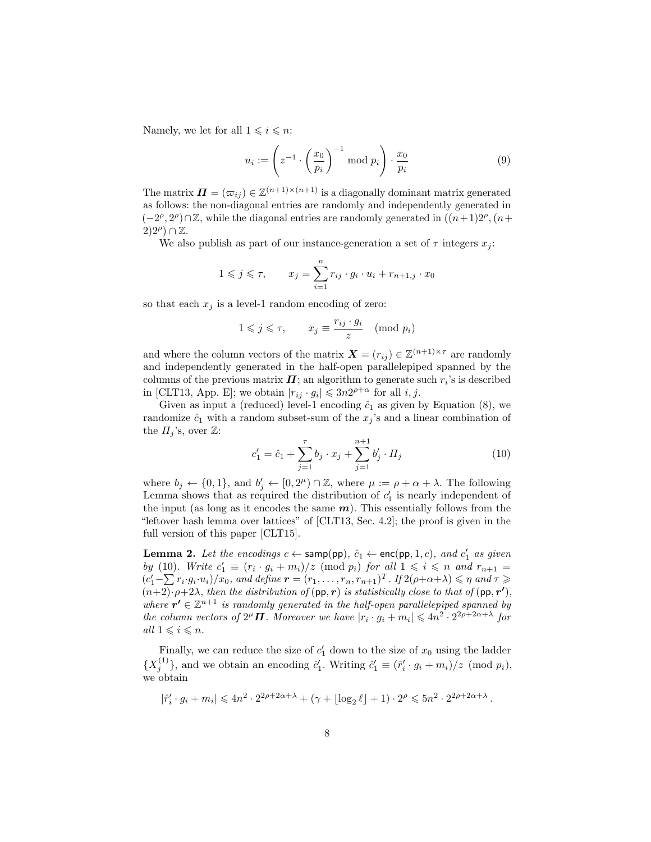Namely, we let for all  $1 \leq i \leq n$ :

$$
u_i := \left(z^{-1} \cdot \left(\frac{x_0}{p_i}\right)^{-1} \text{ mod } p_i\right) \cdot \frac{x_0}{p_i} \tag{9}
$$

The matrix  $\mathbf{\Pi} = (\varpi_{ij}) \in \mathbb{Z}^{(n+1)\times (n+1)}$  is a diagonally dominant matrix generated as follows: the non-diagonal entries are randomly and independently generated in  $(-2^{\rho}, 2^{\rho}) \cap \mathbb{Z}$ , while the diagonal entries are randomly generated in  $((n+1)2^{\rho}, (n+1)2^{\rho})$  $(2)2^{\rho})\cap\mathbb{Z}$ .

We also publish as part of our instance-generation a set of  $\tau$  integers  $x_i$ :

$$
1 \leqslant j \leqslant \tau, \qquad x_j = \sum_{i=1}^n r_{ij} \cdot g_i \cdot u_i + r_{n+1,j} \cdot x_0
$$

so that each  $x_j$  is a level-1 random encoding of zero:

$$
1 \leqslant j \leqslant \tau, \qquad x_j \equiv \frac{r_{ij} \cdot g_i}{z} \pmod{p_i}
$$

and where the column vectors of the matrix  $\mathbf{X} = (r_{ij}) \in \mathbb{Z}^{(n+1)\times \tau}$  are randomly and independently generated in the half-open parallelepiped spanned by the columns of the previous matrix  $\boldsymbol{\Pi}$ ; an algorithm to generate such  $r_i$ 's is described in [CLT13, App. E]; we obtain  $|r_{ij} \cdot g_i| \leqslant 3n2^{\rho+\alpha}$  for all  $i, j$ .

Given as input a (reduced) level-1 encoding  $\hat{c}_1$  as given by Equation (8), we randomize  $\hat{c}_1$  with a random subset-sum of the  $x_j$ 's and a linear combination of the  $\Pi_i$ 's, over  $\mathbb Z$ :

$$
c'_1 = \hat{c}_1 + \sum_{j=1}^{\tau} b_j \cdot x_j + \sum_{j=1}^{n+1} b'_j \cdot \Pi_j \tag{10}
$$

where  $b_j \leftarrow \{0,1\}$ , and  $b'_j \leftarrow [0,2^{\mu}) \cap \mathbb{Z}$ , where  $\mu := \rho + \alpha + \lambda$ . The following Lemma shows that as required the distribution of  $c_1$  is nearly independent of the input (as long as it encodes the same  $m$ ). This essentially follows from the "leftover hash lemma over lattices" of [CLT13, Sec. 4.2]; the proof is given in the full version of this paper [CLT15].

**Lemma 2.** Let the encodings  $c \leftarrow \textsf{sample}(pp)$ ,  $\hat{c}_1 \leftarrow \textsf{enc}(pp, 1, c)$ , and  $c'_1$  as given by (10). Write  $c'_1 \equiv (r_i \cdot g_i + m_i)/z \pmod{p_i}$  for all  $1 \leq i \leq n$  and  $r_{n+1} =$  $(c'_1 - \sum r_i \cdot g_i \cdot u_i)/x_0$ , and define  $\boldsymbol{r} = (r_1, \ldots, r_n, r_{n+1})^T$ . If  $2(\rho + \alpha + \lambda) \leq \eta$  and  $\tau \geq$  $(n+2)\cdot \rho+2\lambda$ , then the distribution of  $(pp, r)$  is statistically close to that of  $(pp, r')$ , where  $r' \in \mathbb{Z}^{n+1}$  is randomly generated in the half-open parallelepiped spanned by the column vectors of  $2^{\mu} \Pi$ . Moreover we have  $|r_i \cdot g_i + m_i| \leq 4n^2 \cdot 2^{2\rho + 2\alpha + \lambda}$  for all  $1 \leq i \leq n$ .

Finally, we can reduce the size of  $c'_1$  down to the size of  $x_0$  using the ladder  $\{X_j^{(1)}\}$ , and we obtain an encoding  $\hat{c}'_1$ . Writing  $\hat{c}'_1 \equiv (\hat{r}'_i \cdot g_i + m_i)/z$  (mod  $p_i$ ), we obtain

$$
|\hat{r}_i' \cdot g_i + m_i| \leq 4n^2 \cdot 2^{2\rho + 2\alpha + \lambda} + (\gamma + \lfloor \log_2 \ell \rfloor + 1) \cdot 2^{\rho} \leq 5n^2 \cdot 2^{2\rho + 2\alpha + \lambda}.
$$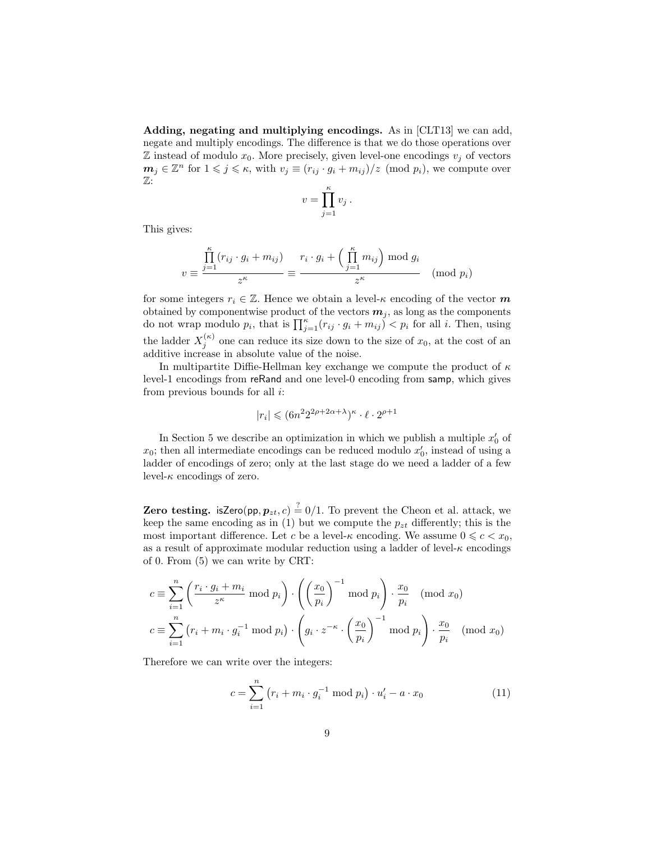Adding, negating and multiplying encodings. As in [CLT13] we can add, negate and multiply encodings. The difference is that we do those operations over  $\mathbb Z$  instead of modulo  $x_0$ . More precisely, given level-one encodings  $v_j$  of vectors  $m_j \in \mathbb{Z}^n$  for  $1 \leqslant j \leqslant \kappa$ , with  $v_j \equiv (r_{ij} \cdot q_i + m_{ij})/z \pmod{p_i}$ , we compute over Z:

$$
v = \prod_{j=1}^{\kappa} v_j.
$$

This gives:

$$
v \equiv \frac{\prod_{j=1}^{\kappa} (r_{ij} \cdot g_i + m_{ij})}{z^{\kappa}} \equiv \frac{r_i \cdot g_i + \left(\prod_{j=1}^{\kappa} m_{ij}\right) \mod g_i}{z^{\kappa}} \pmod{p_i}
$$

for some integers  $r_i \in \mathbb{Z}$ . Hence we obtain a level- $\kappa$  encoding of the vector m obtained by componentwise product of the vectors  $m_j$ , as long as the components do not wrap modulo  $p_i$ , that is  $\prod_{j=1}^k (r_{ij} \cdot g_i + m_{ij}) < p_i$  for all i. Then, using the ladder  $X_j^{(\kappa)}$  one can reduce its size down to the size of  $x_0$ , at the cost of an additive increase in absolute value of the noise.

In multipartite Diffie-Hellman key exchange we compute the product of  $\kappa$ level-1 encodings from reRand and one level-0 encoding from samp, which gives from previous bounds for all i:

$$
|r_i| \leqslant (6n^2 2^{2\rho + 2\alpha + \lambda})^{\kappa} \cdot \ell \cdot 2^{\rho + 1}
$$

In Section 5 we describe an optimization in which we publish a multiple  $x'_0$  of  $x_0$ ; then all intermediate encodings can be reduced modulo  $x'_0$ , instead of using a ladder of encodings of zero; only at the last stage do we need a ladder of a few level- $\kappa$  encodings of zero.

**Zero testing.** isZero(pp,  $p_{zt}$ , c)  $\stackrel{?}{=} 0/1$ . To prevent the Cheon et al. attack, we keep the same encoding as in (1) but we compute the  $p_{zt}$  differently; this is the most important difference. Let c be a level- $\kappa$  encoding. We assume  $0 \leqslant c < x_0$ , as a result of approximate modular reduction using a ladder of level- $\kappa$  encodings of 0. From (5) we can write by CRT:

$$
c \equiv \sum_{i=1}^{n} \left( \frac{r_i \cdot g_i + m_i}{z^{\kappa}} \bmod p_i \right) \cdot \left( \left( \frac{x_0}{p_i} \right)^{-1} \bmod p_i \right) \cdot \frac{x_0}{p_i} \pmod{x_0}
$$
  

$$
c \equiv \sum_{i=1}^{n} \left( r_i + m_i \cdot g_i^{-1} \bmod p_i \right) \cdot \left( g_i \cdot z^{-\kappa} \cdot \left( \frac{x_0}{p_i} \right)^{-1} \bmod p_i \right) \cdot \frac{x_0}{p_i} \pmod{x_0}
$$

Therefore we can write over the integers:

$$
c = \sum_{i=1}^{n} (r_i + m_i \cdot g_i^{-1} \bmod p_i) \cdot u'_i - a \cdot x_0
$$
 (11)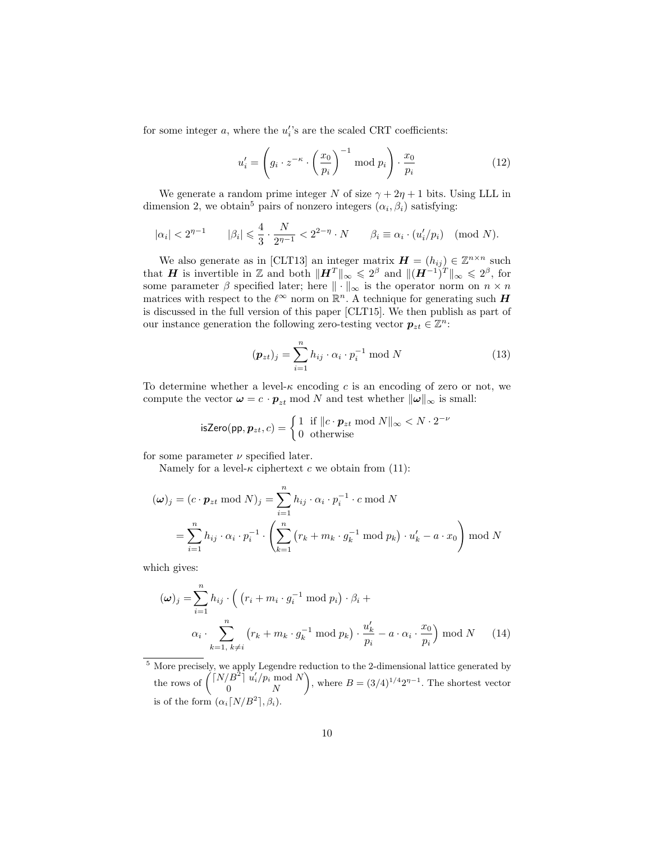for some integer  $a$ , where the  $u_i$ 's are the scaled CRT coefficients:

$$
u'_{i} = \left(g_{i} \cdot z^{-\kappa} \cdot \left(\frac{x_{0}}{p_{i}}\right)^{-1} \text{ mod } p_{i}\right) \cdot \frac{x_{0}}{p_{i}}
$$
(12)

We generate a random prime integer N of size  $\gamma + 2\eta + 1$  bits. Using LLL in dimension 2, we obtain<sup>5</sup> pairs of nonzero integers  $(\alpha_i, \beta_i)$  satisfying:

$$
|\alpha_i| < 2^{\eta - 1} \qquad |\beta_i| \leqslant \frac{4}{3} \cdot \frac{N}{2^{\eta - 1}} < 2^{2 - \eta} \cdot N \qquad \beta_i \equiv \alpha_i \cdot (u'_i / p_i) \pmod{N}.
$$

We also generate as in [CLT13] an integer matrix  $\mathbf{H} = (h_{ij}) \in \mathbb{Z}^{n \times n}$  such that **H** is invertible in Z and both  $||H^T||_{\infty} \leq 2^{\beta}$  and  $||(H^{-1})^T||_{\infty} \leq 2^{\beta}$ , for some parameter  $\beta$  specified later; here  $\|\cdot\|_{\infty}$  is the operator norm on  $n \times n$ matrices with respect to the  $\ell^{\infty}$  norm on  $\mathbb{R}^n$ . A technique for generating such H is discussed in the full version of this paper [CLT15]. We then publish as part of our instance generation the following zero-testing vector  $p_{zt} \in \mathbb{Z}^n$ :

$$
(\boldsymbol{p}_{zt})_j = \sum_{i=1}^n h_{ij} \cdot \alpha_i \cdot p_i^{-1} \bmod N
$$
 (13)

To determine whether a level- $\kappa$  encoding c is an encoding of zero or not, we compute the vector  $\boldsymbol{\omega} = c \cdot \boldsymbol{p}_{zt} \mod N$  and test whether  $\|\boldsymbol{\omega}\|_{\infty}$  is small:

isZero(pp, 
$$
\mathbf{p}_{zt}, c
$$
) = 
$$
\begin{cases} 1 & \text{if } ||c \cdot \mathbf{p}_{zt} \text{ mod } N ||_{\infty} < N \cdot 2^{-\nu} \\ 0 & \text{otherwise} \end{cases}
$$

for some parameter  $\nu$  specified later.

Namely for a level- $\kappa$  ciphertext c we obtain from (11):

$$
(\omega)_j = (c \cdot \mathbf{p}_{zt} \bmod N)_j = \sum_{i=1}^n h_{ij} \cdot \alpha_i \cdot p_i^{-1} \cdot c \bmod N
$$
  
= 
$$
\sum_{i=1}^n h_{ij} \cdot \alpha_i \cdot p_i^{-1} \cdot \left( \sum_{k=1}^n (r_k + m_k \cdot g_k^{-1} \bmod p_k) \cdot u'_k - a \cdot x_0 \right) \bmod N
$$

which gives:

$$
(\omega)_j = \sum_{i=1}^n h_{ij} \cdot \left( \left( r_i + m_i \cdot g_i^{-1} \bmod p_i \right) \cdot \beta_i + \alpha_i \cdot \sum_{k=1, \, k \neq i}^n \left( r_k + m_k \cdot g_k^{-1} \bmod p_k \right) \cdot \frac{u'_k}{p_i} - a \cdot \alpha_i \cdot \frac{x_0}{p_i} \right) \bmod N \tag{14}
$$

<sup>5</sup> More precisely, we apply Legendre reduction to the 2-dimensional lattice generated by the rows of  $\left(\begin{array}{c} \lceil N/B^2 \rceil & u'_i/p_i \bmod N \end{array}\right)$ 0  $N$ ), where  $B = (3/4)^{1/4} 2^{\eta-1}$ . The shortest vector is of the form  $(\alpha_i \lceil N/B^2 \rceil, \beta_i)$ .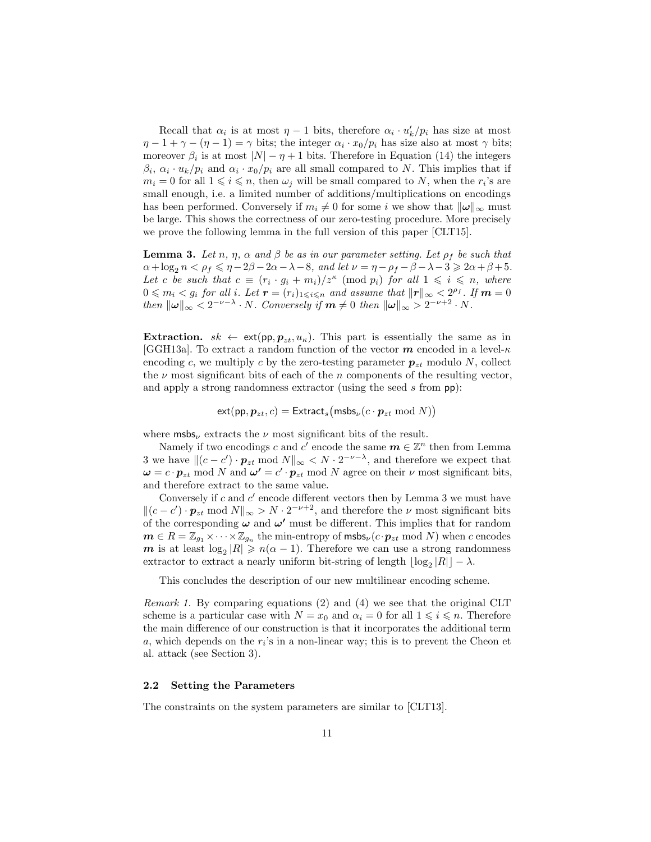Recall that  $\alpha_i$  is at most  $\eta - 1$  bits, therefore  $\alpha_i \cdot u'_k/p_i$  has size at most  $\eta - 1 + \gamma - (\eta - 1) = \gamma$  bits; the integer  $\alpha_i \cdot x_0/p_i$  has size also at most  $\gamma$  bits; moreover  $\beta_i$  is at most  $|N| - \eta + 1$  bits. Therefore in Equation (14) the integers  $\beta_i$ ,  $\alpha_i \cdot u_k/p_i$  and  $\alpha_i \cdot x_0/p_i$  are all small compared to N. This implies that if  $m_i = 0$  for all  $1 \leq i \leq n$ , then  $\omega_j$  will be small compared to N, when the  $r_i$ 's are small enough, i.e. a limited number of additions/multiplications on encodings has been performed. Conversely if  $m_i \neq 0$  for some i we show that  $\|\omega\|_{\infty}$  must be large. This shows the correctness of our zero-testing procedure. More precisely we prove the following lemma in the full version of this paper [CLT15].

**Lemma 3.** Let n,  $\eta$ ,  $\alpha$  and  $\beta$  be as in our parameter setting. Let  $\rho_f$  be such that  $\alpha + \log_2 n < \rho_f \leq \eta - 2\beta - 2\alpha - \lambda - 8$ , and let  $\nu = \eta - \rho_f - \beta - \lambda - 3 \geq 2\alpha + \beta + 5$ . Let c be such that  $c \equiv (r_i \cdot g_i + m_i)/z^{\kappa} \pmod{p_i}$  for all  $1 \leq i \leq n$ , where  $0 \leqslant m_i < g_i$  for all i. Let  $\mathbf{r} = (r_i)_{1 \leqslant i \leqslant n}$  and assume that  $\|\mathbf{r}\|_{\infty} < 2^{\rho_f}$ . If  $\mathbf{m} = 0$ then  $\|\omega\|_{\infty} < 2^{-\nu-\lambda} \cdot N$ . Conversely if  $m \neq 0$  then  $\|\omega\|_{\infty} > 2^{-\nu+2} \cdot N$ .

**Extraction.**  $sk \leftarrow \text{ext}(pp, p_{zt}, u_{\kappa})$ . This part is essentially the same as in [GGH13a]. To extract a random function of the vector  $m$  encoded in a level- $\kappa$ encoding c, we multiply c by the zero-testing parameter  $p_{zt}$  modulo N, collect the  $\nu$  most significant bits of each of the *n* components of the resulting vector, and apply a strong randomness extractor (using the seed s from pp):

$$
\mathsf{ext}(pp, p_{zt}, c) = \mathsf{Extract}_{s}(\mathsf{msbs}_{\nu}(c \cdot p_{zt} \bmod N))
$$

where  $\text{msbs}_{\nu}$  extracts the  $\nu$  most significant bits of the result.

Namely if two encodings c and  $c^{\prime}$  encode the same  $m \in \mathbb{Z}^n$  then from Lemma 3 we have  $\|(c - c') \cdot p_{zt} \mod N\|_{\infty} < N \cdot 2^{-\nu - \lambda}$ , and therefore we expect that  $\omega = c \cdot p_{zt} \mod N$  and  $\omega' = c' \cdot p_{zt} \mod N$  agree on their  $\nu$  most significant bits, and therefore extract to the same value.

Conversely if  $c$  and  $c'$  encode different vectors then by Lemma 3 we must have  $||(c - c') \cdot p_{zt} \mod N||_{\infty} > N \cdot 2^{-\nu+2}$ , and therefore the  $\nu$  most significant bits of the corresponding  $\omega$  and  $\omega'$  must be different. This implies that for random  $m \in R = \mathbb{Z}_{g_1} \times \cdots \times \mathbb{Z}_{g_n}$  the min-entropy of  $\mathsf{msbs}_\nu(c \cdot \boldsymbol{p}_{zt} \bmod N)$  when c encodes m is at least  $\log_2 |R| \geqslant n(\alpha - 1)$ . Therefore we can use a strong randomness extractor to extract a nearly uniform bit-string of length  $\lfloor \log_2 |R| \rfloor - \lambda$ .

This concludes the description of our new multilinear encoding scheme.

Remark 1. By comparing equations (2) and (4) we see that the original CLT scheme is a particular case with  $N = x_0$  and  $\alpha_i = 0$  for all  $1 \leq i \leq n$ . Therefore the main difference of our construction is that it incorporates the additional term  $a$ , which depends on the  $r_i$ 's in a non-linear way; this is to prevent the Cheon et al. attack (see Section 3).

### 2.2 Setting the Parameters

The constraints on the system parameters are similar to [CLT13].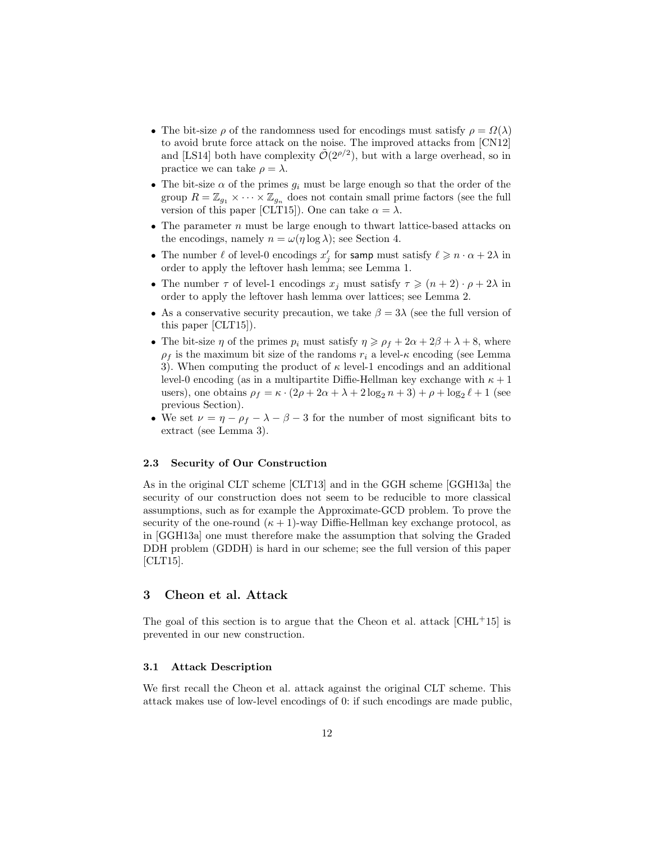- The bit-size  $\rho$  of the randomness used for encodings must satisfy  $\rho = \Omega(\lambda)$ to avoid brute force attack on the noise. The improved attacks from [CN12] and [LS14] both have complexity  $\tilde{\mathcal{O}}(2^{\rho/2})$ , but with a large overhead, so in practice we can take  $\rho = \lambda$ .
- The bit-size  $\alpha$  of the primes  $g_i$  must be large enough so that the order of the group  $R = \mathbb{Z}_{g_1} \times \cdots \times \mathbb{Z}_{g_n}$  does not contain small prime factors (see the full version of this paper [CLT15]). One can take  $\alpha = \lambda$ .
- The parameter  $n$  must be large enough to thwart lattice-based attacks on the encodings, namely  $n = \omega(\eta \log \lambda)$ ; see Section 4.
- The number  $\ell$  of level-0 encodings  $x'_j$  for samp must satisfy  $\ell \geq n \cdot \alpha + 2\lambda$  in order to apply the leftover hash lemma; see Lemma 1.
- The number  $\tau$  of level-1 encodings  $x_i$  must satisfy  $\tau \geq (n+2) \cdot \rho + 2\lambda$  in order to apply the leftover hash lemma over lattices; see Lemma 2.
- As a conservative security precaution, we take  $\beta = 3\lambda$  (see the full version of this paper [CLT15]).
- The bit-size  $\eta$  of the primes  $p_i$  must satisfy  $\eta \geq \rho_f + 2\alpha + 2\beta + \lambda + 8$ , where  $\rho_f$  is the maximum bit size of the randoms  $r_i$  a level- $\kappa$  encoding (see Lemma 3). When computing the product of  $\kappa$  level-1 encodings and an additional level-0 encoding (as in a multipartite Diffie-Hellman key exchange with  $\kappa + 1$ users), one obtains  $\rho_f = \kappa \cdot (2\rho + 2\alpha + \lambda + 2\log_2 n + 3) + \rho + \log_2 \ell + 1$  (see previous Section).
- We set  $\nu = \eta \rho_f \lambda \beta 3$  for the number of most significant bits to extract (see Lemma 3).

### 2.3 Security of Our Construction

As in the original CLT scheme [CLT13] and in the GGH scheme [GGH13a] the security of our construction does not seem to be reducible to more classical assumptions, such as for example the Approximate-GCD problem. To prove the security of the one-round  $(\kappa + 1)$ -way Diffie-Hellman key exchange protocol, as in [GGH13a] one must therefore make the assumption that solving the Graded DDH problem (GDDH) is hard in our scheme; see the full version of this paper [CLT15].

# 3 Cheon et al. Attack

The goal of this section is to argue that the Cheon et al. attack  $\text{[CHL+15]}$  is prevented in our new construction.

#### 3.1 Attack Description

We first recall the Cheon et al. attack against the original CLT scheme. This attack makes use of low-level encodings of 0: if such encodings are made public,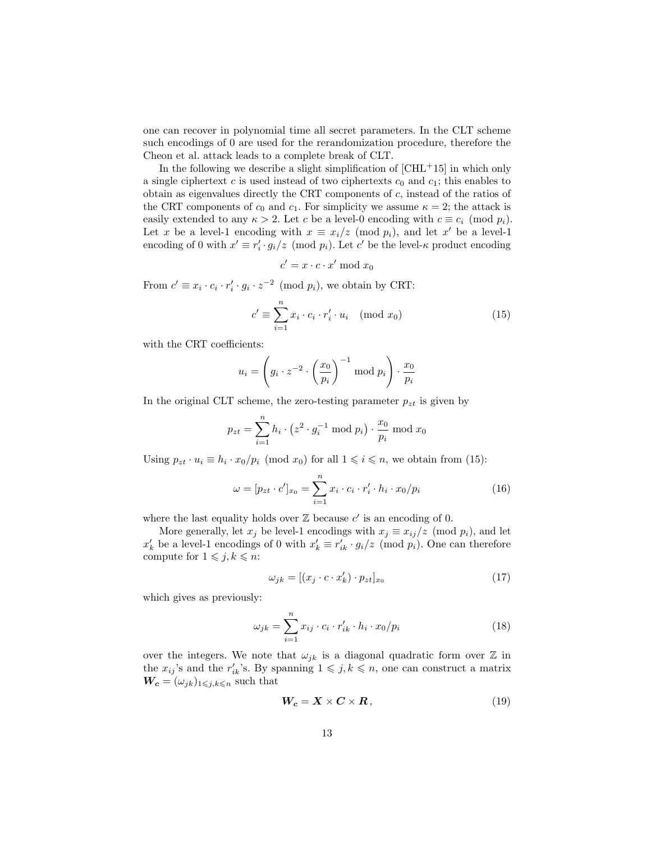one can recover in polynomial time all secret parameters. In the CLT scheme such encodings of 0 are used for the rerandomization procedure, therefore the Cheon et al. attack leads to a complete break of CLT.

In the following we describe a slight simplification of  $\rm [CHL^+15]$  in which only a single ciphertext c is used instead of two ciphertexts  $c_0$  and  $c_1$ ; this enables to obtain as eigenvalues directly the CRT components of c, instead of the ratios of the CRT components of  $c_0$  and  $c_1$ . For simplicity we assume  $\kappa = 2$ ; the attack is easily extended to any  $\kappa > 2$ . Let c be a level-0 encoding with  $c \equiv c_i \pmod{p_i}$ . Let x be a level-1 encoding with  $x \equiv x_i/z \pmod{p_i}$ , and let x' be a level-1 encoding of 0 with  $x' \equiv r'_i \cdot g_i/z \pmod{p_i}$ . Let c' be the level- $\kappa$  product encoding

$$
c' = x \cdot c \cdot x' \bmod x_0
$$

From  $c' \equiv x_i \cdot c_i \cdot r'_i \cdot g_i \cdot z^{-2} \pmod{p_i}$ , we obtain by CRT:

$$
c' \equiv \sum_{i=1}^{n} x_i \cdot c_i \cdot r'_i \cdot u_i \pmod{x_0}
$$
 (15)

with the CRT coefficients:

$$
u_i = \left(g_i \cdot z^{-2} \cdot \left(\frac{x_0}{p_i}\right)^{-1} \text{ mod } p_i\right) \cdot \frac{x_0}{p_i}
$$

In the original CLT scheme, the zero-testing parameter  $p_{zt}$  is given by

$$
p_{zt} = \sum_{i=1}^{n} h_i \cdot (z^2 \cdot g_i^{-1} \bmod p_i) \cdot \frac{x_0}{p_i} \bmod x_0
$$

Using  $p_{zt} \cdot u_i \equiv h_i \cdot x_0/p_i \pmod{x_0}$  for all  $1 \leq i \leq n$ , we obtain from (15):

$$
\omega = [p_{zt} \cdot c']_{x_0} = \sum_{i=1}^{n} x_i \cdot c_i \cdot r'_i \cdot h_i \cdot x_0 / p_i \tag{16}
$$

where the last equality holds over  $\mathbb Z$  because  $c'$  is an encoding of 0.

More generally, let  $x_j$  be level-1 encodings with  $x_j \equiv x_{ij}/z \pmod{p_i}$ , and let  $x'_k$  be a level-1 encodings of 0 with  $x'_k \equiv r'_{ik} \cdot g_i/z$  (mod  $p_i$ ). One can therefore compute for  $1 \leq j, k \leq n$ :

$$
\omega_{jk} = [(x_j \cdot c \cdot x'_k) \cdot p_{zt}]_{x_0} \tag{17}
$$

which gives as previously:

$$
\omega_{jk} = \sum_{i=1}^{n} x_{ij} \cdot c_i \cdot r'_{ik} \cdot h_i \cdot x_0 / p_i \tag{18}
$$

over the integers. We note that  $\omega_{ik}$  is a diagonal quadratic form over  $\mathbb Z$  in the  $x_{ij}$ 's and the  $r'_{ik}$ 's. By spanning  $1 \leqslant j, k \leqslant n$ , one can construct a matrix  $\boldsymbol{W_c} = (\omega_{jk})_{1\leqslant j,k \leqslant n}$  such that

$$
W_c = X \times C \times R, \qquad (19)
$$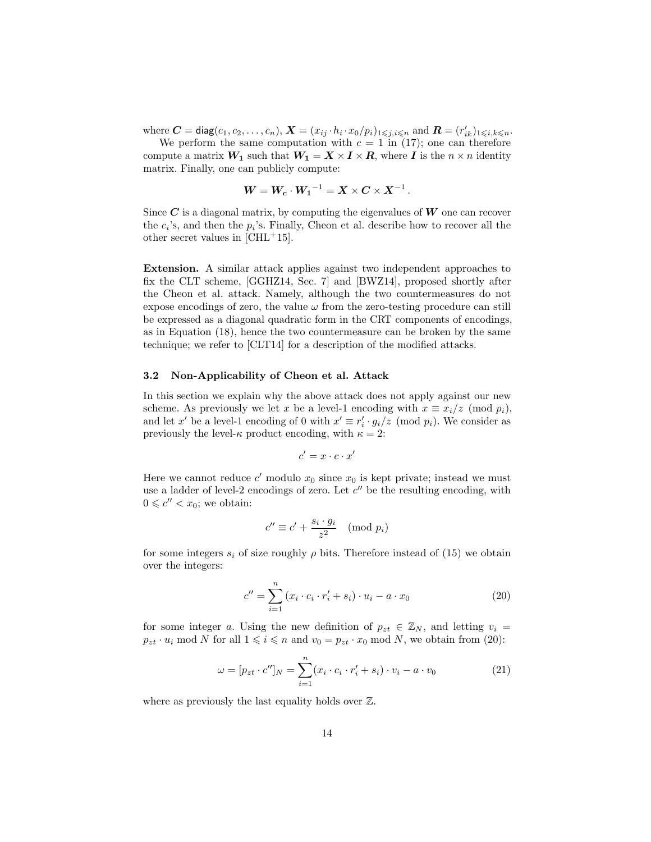where  $\boldsymbol{C} = \textsf{diag}(c_1, c_2, \dots, c_n), \boldsymbol{X} = (x_{ij} \cdot h_i \cdot x_0/p_i)_{1 \leqslant j,i \leqslant n}$  and  $\boldsymbol{R} = (r'_{ik})_{1 \leqslant i,k \leqslant n}$ .

We perform the same computation with  $c = 1$  in (17); one can therefore compute a matrix  $W_1$  such that  $W_1 = X \times I \times R$ , where I is the  $n \times n$  identity matrix. Finally, one can publicly compute:

$$
W = W_c \cdot W_1^{-1} = X \times C \times X^{-1}.
$$

Since  $\boldsymbol{C}$  is a diagonal matrix, by computing the eigenvalues of  $\boldsymbol{W}$  one can recover the  $c_i$ 's, and then the  $p_i$ 's. Finally, Cheon et al. describe how to recover all the other secret values in [CHL+15].

Extension. A similar attack applies against two independent approaches to fix the CLT scheme, [GGHZ14, Sec. 7] and [BWZ14], proposed shortly after the Cheon et al. attack. Namely, although the two countermeasures do not expose encodings of zero, the value  $\omega$  from the zero-testing procedure can still be expressed as a diagonal quadratic form in the CRT components of encodings, as in Equation (18), hence the two countermeasure can be broken by the same technique; we refer to [CLT14] for a description of the modified attacks.

### 3.2 Non-Applicability of Cheon et al. Attack

In this section we explain why the above attack does not apply against our new scheme. As previously we let x be a level-1 encoding with  $x \equiv x_i/z \pmod{p_i}$ , and let x' be a level-1 encoding of 0 with  $x' \equiv r'_i \cdot g_i/z \pmod{p_i}$ . We consider as previously the level- $\kappa$  product encoding, with  $\kappa = 2$ :

$$
c'=x\cdot c\cdot x'
$$

Here we cannot reduce  $c'$  modulo  $x_0$  since  $x_0$  is kept private; instead we must use a ladder of level-2 encodings of zero. Let  $c''$  be the resulting encoding, with  $0 \leq c'' < x_0$ ; we obtain:

$$
c'' \equiv c' + \frac{s_i \cdot g_i}{z^2} \pmod{p_i}
$$

for some integers  $s_i$  of size roughly  $\rho$  bits. Therefore instead of (15) we obtain over the integers:

$$
c'' = \sum_{i=1}^{n} (x_i \cdot c_i \cdot r'_i + s_i) \cdot u_i - a \cdot x_0
$$
 (20)

for some integer a. Using the new definition of  $p_{zt} \in \mathbb{Z}_N$ , and letting  $v_i =$  $p_{zt} \cdot u_i \mod N$  for all  $1 \leq i \leq n$  and  $v_0 = p_{zt} \cdot x_0 \mod N$ , we obtain from (20):

$$
\omega = [p_{zt} \cdot c'']_N = \sum_{i=1}^n (x_i \cdot c_i \cdot r'_i + s_i) \cdot v_i - a \cdot v_0 \tag{21}
$$

where as previously the last equality holds over  $\mathbb{Z}$ .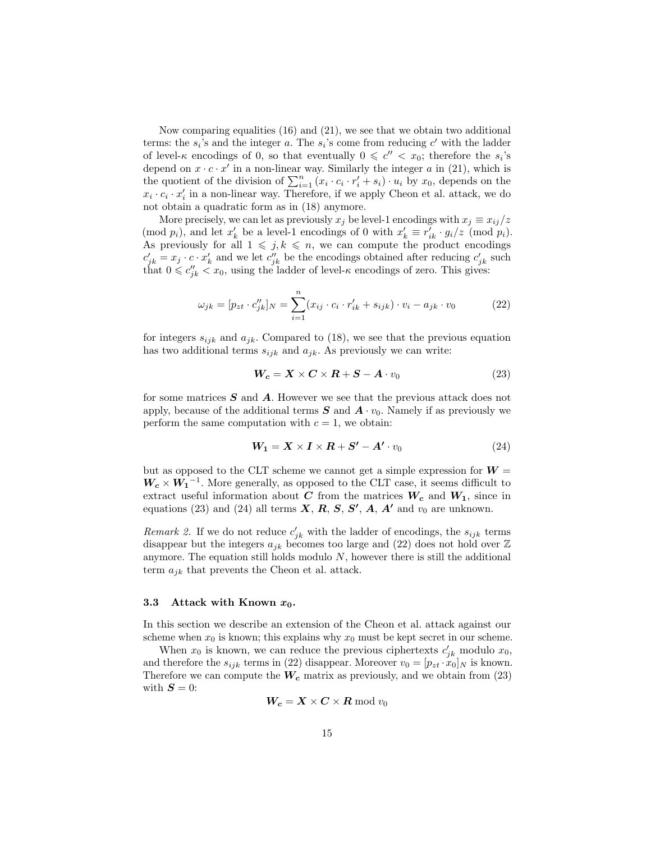Now comparing equalities (16) and (21), we see that we obtain two additional terms: the  $s_i$ 's and the integer a. The  $s_i$ 's come from reducing  $c'$  with the ladder of level- $\kappa$  encodings of 0, so that eventually  $0 \leq c'' < x_0$ ; therefore the  $s_i$ 's depend on  $x \cdot c \cdot x'$  in a non-linear way. Similarly the integer a in (21), which is the quotient of the division of  $\sum_{i=1}^{n} (x_i \cdot c_i \cdot r'_i + s_i) \cdot u_i$  by  $x_0$ , depends on the  $x_i \cdot c_i \cdot x'_i$  in a non-linear way. Therefore, if we apply Cheon et al. attack, we do not obtain a quadratic form as in (18) anymore.

More precisely, we can let as previously  $x_j$  be level-1 encodings with  $x_j \equiv x_{ij}/z$ (mod  $p_i$ ), and let  $x'_k$  be a level-1 encodings of 0 with  $x'_k \equiv r'_{ik} \cdot g_i/z$  (mod  $p_i$ ). As previously for all  $1 \leq j, k \leq n$ , we can compute the product encodings  $c'_{jk} = x_j \cdot c \cdot x'_k$  and we let  $c''_{jk}$  be the encodings obtained after reducing  $c'_{jk}$  such that  $0 \leq c''_{jk} < x_0$ , using the ladder of level- $\kappa$  encodings of zero. This gives:

$$
\omega_{jk} = [p_{zt} \cdot c_{jk}']_N = \sum_{i=1}^n (x_{ij} \cdot c_i \cdot r_{ik}' + s_{ijk}) \cdot v_i - a_{jk} \cdot v_0 \tag{22}
$$

for integers  $s_{ijk}$  and  $a_{jk}$ . Compared to (18), we see that the previous equation has two additional terms  $s_{ijk}$  and  $a_{jk}$ . As previously we can write:

$$
W_c = X \times C \times R + S - A \cdot v_0 \tag{23}
$$

for some matrices  $S$  and  $\tilde{A}$ . However we see that the previous attack does not apply, because of the additional terms  $S$  and  $A \cdot v_0$ . Namely if as previously we perform the same computation with  $c = 1$ , we obtain:

$$
W_1 = X \times I \times R + S' - A' \cdot v_0 \tag{24}
$$

but as opposed to the CLT scheme we cannot get a simple expression for  $W =$  $W_c \times W_1^{-1}$ . More generally, as opposed to the CLT case, it seems difficult to extract useful information about C from the matrices  $W_c$  and  $W_1$ , since in equations (23) and (24) all terms  $X, R, S, S', A, A'$  and  $v_0$  are unknown.

Remark 2. If we do not reduce  $c'_{jk}$  with the ladder of encodings, the  $s_{ijk}$  terms disappear but the integers  $a_{jk}$  becomes too large and (22) does not hold over  $\mathbb Z$ anymore. The equation still holds modulo  $N$ , however there is still the additional term  $a_{jk}$  that prevents the Cheon et al. attack.

#### 3.3 Attack with Known  $x_0$ .

In this section we describe an extension of the Cheon et al. attack against our scheme when  $x_0$  is known; this explains why  $x_0$  must be kept secret in our scheme.

When  $x_0$  is known, we can reduce the previous ciphertexts  $c'_{jk}$  modulo  $x_0$ , and therefore the  $s_{ijk}$  terms in (22) disappear. Moreover  $v_0 = [p_{zt} \cdot x_0]_N$  is known. Therefore we can compute the  $W_c$  matrix as previously, and we obtain from (23) with  $S = 0$ :

$$
\boldsymbol{W_c=X \times C \times R} \bmod v_0
$$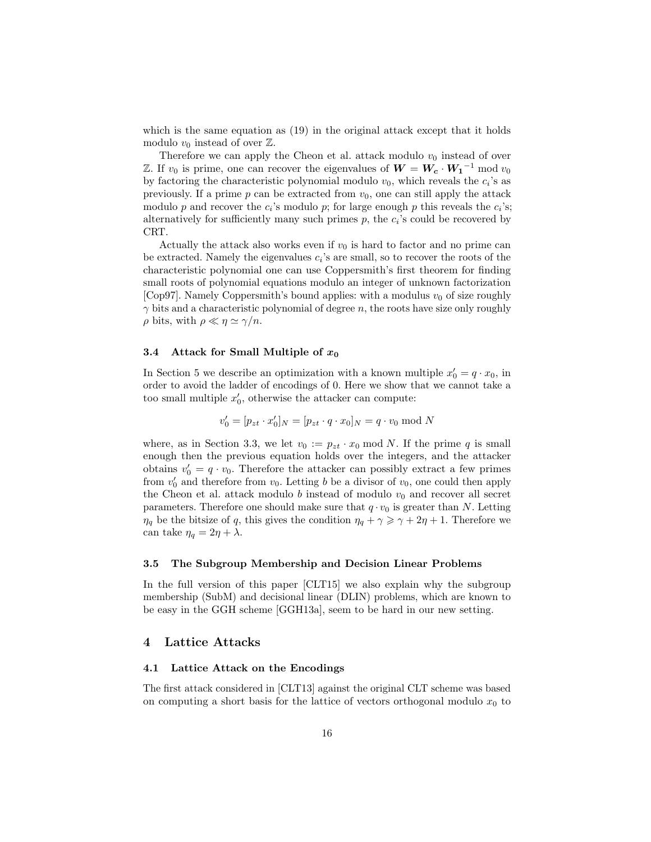which is the same equation as  $(19)$  in the original attack except that it holds modulo  $v_0$  instead of over  $\mathbb{Z}$ .

Therefore we can apply the Cheon et al. attack modulo  $v_0$  instead of over Z. If  $v_0$  is prime, one can recover the eigenvalues of  $W = W_c \cdot W_1^{-1} \text{ mod } v_0$ by factoring the characteristic polynomial modulo  $v_0$ , which reveals the  $c_i$ 's as previously. If a prime p can be extracted from  $v_0$ , one can still apply the attack modulo p and recover the  $c_i$ 's modulo p; for large enough p this reveals the  $c_i$ 's; alternatively for sufficiently many such primes  $p$ , the  $c_i$ 's could be recovered by CRT.

Actually the attack also works even if  $v_0$  is hard to factor and no prime can be extracted. Namely the eigenvalues  $c_i$ 's are small, so to recover the roots of the characteristic polynomial one can use Coppersmith's first theorem for finding small roots of polynomial equations modulo an integer of unknown factorization [Cop97]. Namely Coppersmith's bound applies: with a modulus  $v_0$  of size roughly  $\gamma$  bits and a characteristic polynomial of degree n, the roots have size only roughly  $\rho$  bits, with  $\rho \ll \eta \simeq \gamma / n$ .

#### 3.4 Attack for Small Multiple of  $x_0$

In Section 5 we describe an optimization with a known multiple  $x'_0 = q \cdot x_0$ , in order to avoid the ladder of encodings of 0. Here we show that we cannot take a too small multiple  $x'_0$ , otherwise the attacker can compute:

$$
v_0' = [p_{zt} \cdot x_0']_N = [p_{zt} \cdot q \cdot x_0]_N = q \cdot v_0 \bmod N
$$

where, as in Section 3.3, we let  $v_0 := p_{zt} \cdot x_0 \mod N$ . If the prime q is small enough then the previous equation holds over the integers, and the attacker obtains  $v'_0 = q \cdot v_0$ . Therefore the attacker can possibly extract a few primes from  $v'_0$  and therefore from  $v_0$ . Letting b be a divisor of  $v_0$ , one could then apply the Cheon et al. attack modulo b instead of modulo  $v_0$  and recover all secret parameters. Therefore one should make sure that  $q \cdot v_0$  is greater than N. Letting  $\eta_q$  be the bitsize of q, this gives the condition  $\eta_q + \gamma \geq \gamma + 2\eta + 1$ . Therefore we can take  $\eta_q = 2\eta + \lambda$ .

#### 3.5 The Subgroup Membership and Decision Linear Problems

In the full version of this paper [CLT15] we also explain why the subgroup membership (SubM) and decisional linear (DLIN) problems, which are known to be easy in the GGH scheme [GGH13a], seem to be hard in our new setting.

# 4 Lattice Attacks

### 4.1 Lattice Attack on the Encodings

The first attack considered in [CLT13] against the original CLT scheme was based on computing a short basis for the lattice of vectors orthogonal modulo  $x_0$  to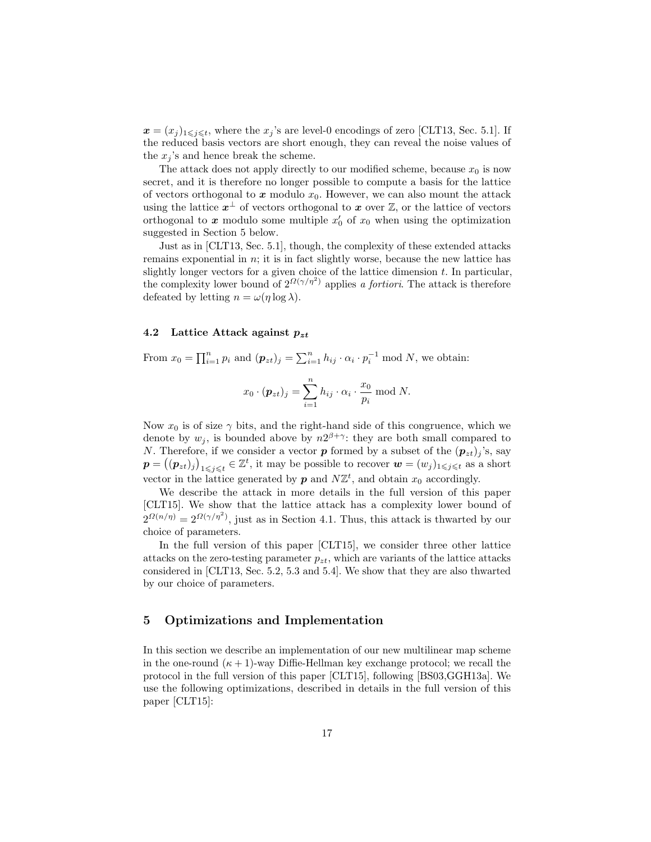$x = (x_j)_{1 \leq j \leq t}$ , where the  $x_j$ 's are level-0 encodings of zero [CLT13, Sec. 5.1]. If the reduced basis vectors are short enough, they can reveal the noise values of the  $x_j$ 's and hence break the scheme.

The attack does not apply directly to our modified scheme, because  $x_0$  is now secret, and it is therefore no longer possible to compute a basis for the lattice of vectors orthogonal to x modulo  $x_0$ . However, we can also mount the attack using the lattice  $x^{\perp}$  of vectors orthogonal to x over  $\mathbb{Z}$ , or the lattice of vectors orthogonal to  $x$  modulo some multiple  $x'_0$  of  $x_0$  when using the optimization suggested in Section 5 below.

Just as in [CLT13, Sec. 5.1], though, the complexity of these extended attacks remains exponential in  $n$ ; it is in fact slightly worse, because the new lattice has slightly longer vectors for a given choice of the lattice dimension  $t$ . In particular, the complexity lower bound of  $2^{\Omega(\gamma/\eta^2)}$  applies a fortiori. The attack is therefore defeated by letting  $n = \omega(\eta \log \lambda)$ .

### 4.2 Lattice Attack against  $p_{zt}$

From  $x_0 = \prod_{i=1}^n p_i$  and  $(p_{zt})_j = \sum_{i=1}^n h_{ij} \cdot \alpha_i \cdot p_i^{-1} \mod N$ , we obtain:

$$
x_0 \cdot (\mathbf{p}_{zt})_j = \sum_{i=1}^n h_{ij} \cdot \alpha_i \cdot \frac{x_0}{p_i} \bmod N.
$$

Now  $x_0$  is of size  $\gamma$  bits, and the right-hand side of this congruence, which we denote by  $w_j$ , is bounded above by  $n2^{\beta+\gamma}$ : they are both small compared to N. Therefore, if we consider a vector **p** formed by a subset of the  $(p_{zt})$  's, say  $\boldsymbol{p} = ((\boldsymbol{p}_{zt})_j)_{1 \leqslant j \leqslant t} \in \mathbb{Z}^t$ , it may be possible to recover  $\boldsymbol{w} = (w_j)_{1 \leqslant j \leqslant t}$  as a short vector in the lattice generated by  $p$  and  $N\mathbb{Z}^t$ , and obtain  $x_0$  accordingly.

We describe the attack in more details in the full version of this paper [CLT15]. We show that the lattice attack has a complexity lower bound of  $2^{\Omega(n/\eta)} = 2^{\Omega(\gamma/\eta^2)}$ , just as in Section 4.1. Thus, this attack is thwarted by our choice of parameters.

In the full version of this paper [CLT15], we consider three other lattice attacks on the zero-testing parameter  $p_{zt}$ , which are variants of the lattice attacks considered in [CLT13, Sec. 5.2, 5.3 and 5.4]. We show that they are also thwarted by our choice of parameters.

## 5 Optimizations and Implementation

In this section we describe an implementation of our new multilinear map scheme in the one-round  $(\kappa + 1)$ -way Diffie-Hellman key exchange protocol; we recall the protocol in the full version of this paper [CLT15], following [BS03,GGH13a]. We use the following optimizations, described in details in the full version of this paper [CLT15]: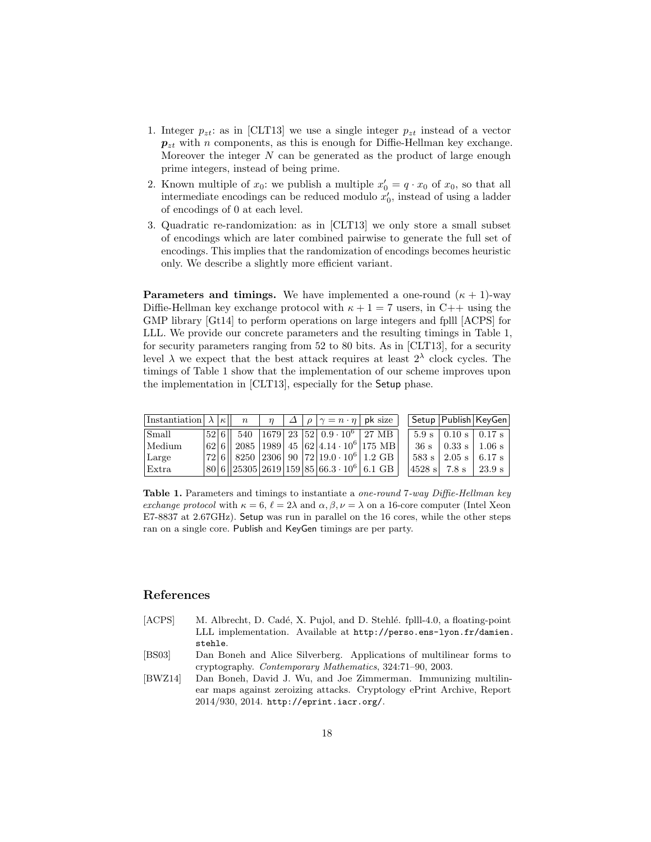- 1. Integer  $p_{zt}$ : as in [CLT13] we use a single integer  $p_{zt}$  instead of a vector  $p_{zt}$  with n components, as this is enough for Diffie-Hellman key exchange. Moreover the integer  $N$  can be generated as the product of large enough prime integers, instead of being prime.
- 2. Known multiple of  $x_0$ : we publish a multiple  $x'_0 = q \cdot x_0$  of  $x_0$ , so that all intermediate encodings can be reduced modulo  $x'_0$ , instead of using a ladder of encodings of 0 at each level.
- 3. Quadratic re-randomization: as in [CLT13] we only store a small subset of encodings which are later combined pairwise to generate the full set of encodings. This implies that the randomization of encodings becomes heuristic only. We describe a slightly more efficient variant.

**Parameters and timings.** We have implemented a one-round  $(\kappa + 1)$ -way Diffie-Hellman key exchange protocol with  $\kappa + 1 = 7$  users, in C++ using the GMP library [Gt14] to perform operations on large integers and fplll [ACPS] for LLL. We provide our concrete parameters and the resulting timings in Table 1, for security parameters ranging from 52 to 80 bits. As in [CLT13], for a security level  $\lambda$  we expect that the best attack requires at least  $2^{\lambda}$  clock cycles. The timings of Table 1 show that the implementation of our scheme improves upon the implementation in [CLT13], especially for the Setup phase.

| Instantiation $\lambda  \kappa $ n |  |  |  | $\eta$ $\Delta$ $\rho$ $\gamma$ = $n \cdot \eta$   pk size                                                                    |  |         |                        | Setup   Publish   KeyGen          |
|------------------------------------|--|--|--|-------------------------------------------------------------------------------------------------------------------------------|--|---------|------------------------|-----------------------------------|
| <i>Small</i>                       |  |  |  | $ 52 6  $ 540 $ 1679 $ 23 $ 52 $ 0.9 $\cdot$ 10 <sup>6</sup> $ $ 27 MB $ $                                                    |  |         |                        | $5.9 \text{ s}$   0.10 s   0.17 s |
| Medium                             |  |  |  | $\left  62 \right  6 \right $ 2085 $\left  1989 \right  45 \left  62 \right  4.14 \cdot 10^{6} \left  175 \right  10 \right $ |  | $-36s$  | $\vert$ 0.33 s $\vert$ | 1.06 s                            |
| Large                              |  |  |  | $\left  72\right  6\left  \right  8250 \left  2306\right  90 \left  72\right  19.0\cdot 10^{6}\right  1.2\; {\rm GB} \left $  |  |         | $583 s$   2.05 s       | 6.17 s                            |
| $ $ Extra                          |  |  |  | $\frac{1}{80}$ 6 $\frac{1}{25305}$ 2619 159 $\frac{1}{85}$ 66.3 $\cdot$ 10 <sup>6</sup> 6.1 GB                                |  | 4528 sl | 7.8 s                  | 23.9 s                            |

Table 1. Parameters and timings to instantiate a *one-round* 7-way Diffie-Hellman key exchange protocol with  $\kappa = 6$ ,  $\ell = 2\lambda$  and  $\alpha, \beta, \nu = \lambda$  on a 16-core computer (Intel Xeon E7-8837 at 2.67GHz). Setup was run in parallel on the 16 cores, while the other steps ran on a single core. Publish and KeyGen timings are per party.

## References

- [ACPS] M. Albrecht, D. Cadé, X. Pujol, and D. Stehlé. fplll-4.0, a floating-point LLL implementation. Available at http://perso.ens-lyon.fr/damien. stehle.
- [BS03] Dan Boneh and Alice Silverberg. Applications of multilinear forms to cryptography. Contemporary Mathematics, 324:71–90, 2003.
- [BWZ14] Dan Boneh, David J. Wu, and Joe Zimmerman. Immunizing multilinear maps against zeroizing attacks. Cryptology ePrint Archive, Report 2014/930, 2014. http://eprint.iacr.org/.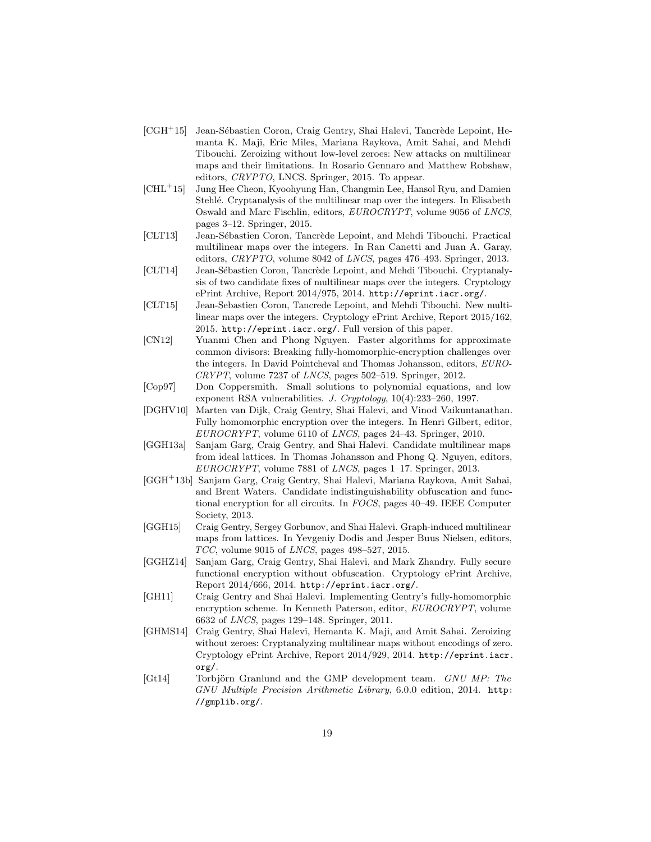- $[CGH<sup>+</sup>15]$  Jean-Sébastien Coron, Craig Gentry, Shai Halevi, Tancrède Lepoint, Hemanta K. Maji, Eric Miles, Mariana Raykova, Amit Sahai, and Mehdi Tibouchi. Zeroizing without low-level zeroes: New attacks on multilinear maps and their limitations. In Rosario Gennaro and Matthew Robshaw, editors, CRYPTO, LNCS. Springer, 2015. To appear.
- [CHL<sup>+</sup>15] Jung Hee Cheon, Kyoohyung Han, Changmin Lee, Hansol Ryu, and Damien Stehlé. Cryptanalysis of the multilinear map over the integers. In Elisabeth Oswald and Marc Fischlin, editors, EUROCRYPT, volume 9056 of LNCS, pages 3–12. Springer, 2015.
- [CLT13] Jean-Sébastien Coron, Tancrède Lepoint, and Mehdi Tibouchi. Practical multilinear maps over the integers. In Ran Canetti and Juan A. Garay, editors, CRYPTO, volume 8042 of LNCS, pages 476–493. Springer, 2013.
- [CLT14] Jean-Sébastien Coron, Tancrède Lepoint, and Mehdi Tibouchi. Cryptanalysis of two candidate fixes of multilinear maps over the integers. Cryptology ePrint Archive, Report 2014/975, 2014. http://eprint.iacr.org/.
- [CLT15] Jean-Sebastien Coron, Tancrede Lepoint, and Mehdi Tibouchi. New multilinear maps over the integers. Cryptology ePrint Archive, Report 2015/162, 2015. http://eprint.iacr.org/. Full version of this paper.
- [CN12] Yuanmi Chen and Phong Nguyen. Faster algorithms for approximate common divisors: Breaking fully-homomorphic-encryption challenges over the integers. In David Pointcheval and Thomas Johansson, editors, EURO-CRYPT, volume 7237 of LNCS, pages 502–519. Springer, 2012.
- [Cop97] Don Coppersmith. Small solutions to polynomial equations, and low exponent RSA vulnerabilities. J. Cryptology, 10(4):233–260, 1997.
- [DGHV10] Marten van Dijk, Craig Gentry, Shai Halevi, and Vinod Vaikuntanathan. Fully homomorphic encryption over the integers. In Henri Gilbert, editor, EUROCRYPT, volume 6110 of LNCS, pages 24–43. Springer, 2010.
- [GGH13a] Sanjam Garg, Craig Gentry, and Shai Halevi. Candidate multilinear maps from ideal lattices. In Thomas Johansson and Phong Q. Nguyen, editors, EUROCRYPT, volume 7881 of LNCS, pages 1–17. Springer, 2013.
- [GGH<sup>+</sup>13b] Sanjam Garg, Craig Gentry, Shai Halevi, Mariana Raykova, Amit Sahai, and Brent Waters. Candidate indistinguishability obfuscation and functional encryption for all circuits. In FOCS, pages 40–49. IEEE Computer Society, 2013.
- [GGH15] Craig Gentry, Sergey Gorbunov, and Shai Halevi. Graph-induced multilinear maps from lattices. In Yevgeniy Dodis and Jesper Buus Nielsen, editors, TCC, volume 9015 of LNCS, pages 498–527, 2015.
- [GGHZ14] Sanjam Garg, Craig Gentry, Shai Halevi, and Mark Zhandry. Fully secure functional encryption without obfuscation. Cryptology ePrint Archive, Report 2014/666, 2014. http://eprint.iacr.org/.
- [GH11] Craig Gentry and Shai Halevi. Implementing Gentry's fully-homomorphic encryption scheme. In Kenneth Paterson, editor, EUROCRYPT, volume 6632 of LNCS, pages 129–148. Springer, 2011.
- [GHMS14] Craig Gentry, Shai Halevi, Hemanta K. Maji, and Amit Sahai. Zeroizing without zeroes: Cryptanalyzing multilinear maps without encodings of zero. Cryptology ePrint Archive, Report 2014/929, 2014. http://eprint.iacr. org/.
- [Gt14] Torbjörn Granlund and the GMP development team. GNU MP: The GNU Multiple Precision Arithmetic Library, 6.0.0 edition, 2014. http: //gmplib.org/.